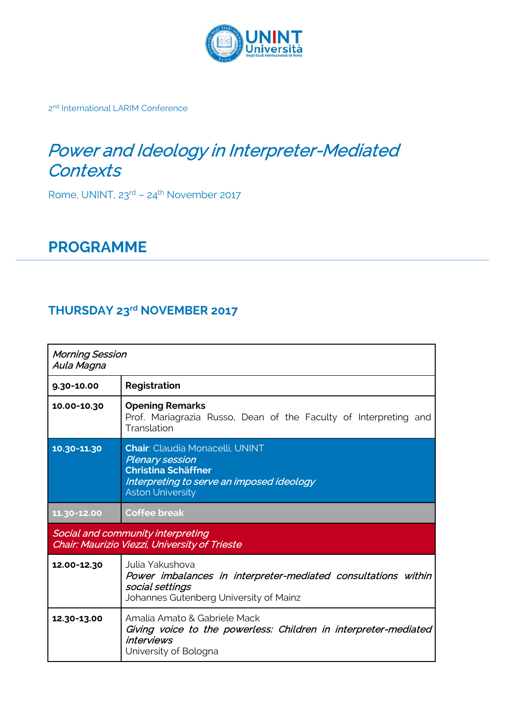

2<sup>nd</sup> International LARIM Conference

## Power and Ideology in Interpreter-Mediated **Contexts**

Rome, UNINT, 23rd – 24th November 2017

## **PROGRAMME**

## **THURSDAY 23rd NOVEMBER 2017**

| <b>Morning Session</b><br>Aula Magna                                               |                                                                                                                                                                        |  |
|------------------------------------------------------------------------------------|------------------------------------------------------------------------------------------------------------------------------------------------------------------------|--|
| 9.30-10.00                                                                         | Registration                                                                                                                                                           |  |
| 10.00-10.30                                                                        | <b>Opening Remarks</b><br>Prof. Mariagrazia Russo, Dean of the Faculty of Interpreting and<br>Translation                                                              |  |
| 10.30-11.30                                                                        | <b>Chair: Claudia Monacelli, UNINT</b><br><b>Plenary session</b><br><b>Christina Schäffner</b><br>Interpreting to serve an imposed ideology<br><b>Aston University</b> |  |
| 11.30-12.00                                                                        | <b>Coffee break</b>                                                                                                                                                    |  |
| Social and community interpreting<br>Chair: Maurizio Viezzi, University of Trieste |                                                                                                                                                                        |  |
| 12.00-12.30                                                                        | Julia Yakushova<br>Power imbalances in interpreter-mediated consultations within<br>social settings<br>Johannes Gutenberg University of Mainz                          |  |
| 12.30-13.00                                                                        | Amalia Amato & Gabriele Mack<br>Giving voice to the powerless: Children in interpreter-mediated<br><i>interviews</i><br>University of Bologna                          |  |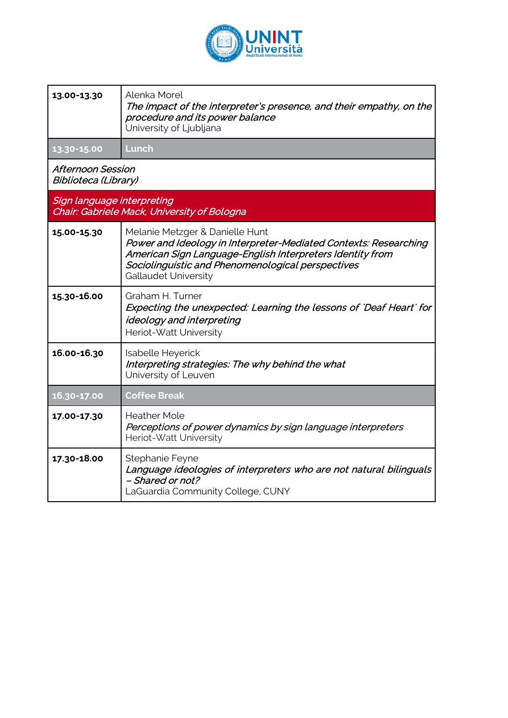

| 13.00-13.30                                                               | Alenka Morel<br>The impact of the interpreter's presence, and their empathy, on the<br>procedure and its power balance<br>University of Ljubljana                                                                                                    |
|---------------------------------------------------------------------------|------------------------------------------------------------------------------------------------------------------------------------------------------------------------------------------------------------------------------------------------------|
| 13.30-15.00                                                               | Lunch                                                                                                                                                                                                                                                |
| <b>Afternoon Session</b><br><b>Biblioteca (Library)</b>                   |                                                                                                                                                                                                                                                      |
| Sign language interpreting<br>Chair: Gabriele Mack, University of Bologna |                                                                                                                                                                                                                                                      |
| 15.00-15.30                                                               | Melanie Metzger & Danielle Hunt<br>Power and Ideology in Interpreter-Mediated Contexts: Researching<br>American Sign Language-English Interpreters Identity from<br>Sociolinguistic and Phenomenological perspectives<br><b>Gallaudet University</b> |
| 15.30-16.00                                                               | Graham H. Turner<br>Expecting the unexpected: Learning the lessons of 'Deaf Heart' for<br>ideology and interpreting<br>Heriot-Watt University                                                                                                        |
| 16.00-16.30                                                               | Isabelle Heyerick<br>Interpreting strategies: The why behind the what<br>University of Leuven                                                                                                                                                        |
| 16.30-17.00                                                               | <b>Coffee Break</b>                                                                                                                                                                                                                                  |
| 17.00-17.30                                                               | <b>Heather Mole</b><br>Perceptions of power dynamics by sign language interpreters<br>Heriot-Watt University                                                                                                                                         |
| 17.30-18.00                                                               | Stephanie Feyne<br>Language ideologies of interpreters who are not natural bilinguals<br>- Shared or not?<br>LaGuardia Community College, CUNY                                                                                                       |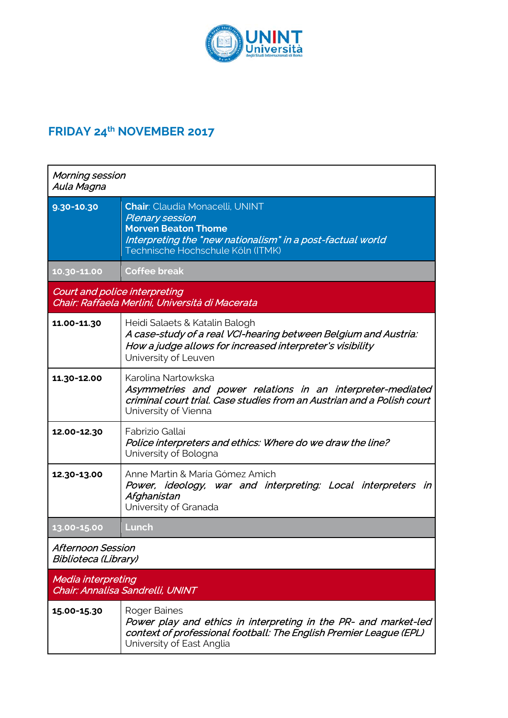

## **FRIDAY 24th NOVEMBER 2017**

| Morning session<br>Aula Magna                                 |                                                                                                                                                                                                   |
|---------------------------------------------------------------|---------------------------------------------------------------------------------------------------------------------------------------------------------------------------------------------------|
| $9.30 - 10.30$                                                | <b>Chair: Claudia Monacelli, UNINT</b><br><b>Plenary session</b><br><b>Morven Beaton Thome</b><br>Interpreting the "new nationalism" in a post-factual world<br>Technische Hochschule Köln (ITMK) |
| 10.30-11.00                                                   | <b>Coffee break</b>                                                                                                                                                                               |
| Court and police interpreting                                 | Chair: Raffaela Merlini, Università di Macerata                                                                                                                                                   |
| 11.00-11.30                                                   | Heidi Salaets & Katalin Balogh<br>A case-study of a real VCI-hearing between Belgium and Austria:<br>How a judge allows for increased interpreter's visibility<br>University of Leuven            |
| 11.30-12.00                                                   | Karolina Nartowkska<br>Asymmetries and power relations in an interpreter-mediated<br>criminal court trial. Case studies from an Austrian and a Polish court<br>University of Vienna               |
| 12.00-12.30                                                   | Fabrizio Gallai<br>Police interpreters and ethics: Where do we draw the line?<br>University of Bologna                                                                                            |
| 12.30-13.00                                                   | Anne Martin & María Gómez Amich<br>Power, ideology, war and interpreting: Local interpreters in<br>Afghanistan<br>University of Granada                                                           |
| 13.00-15.00                                                   | Lunch                                                                                                                                                                                             |
| <b>Afternoon Session</b><br>Biblioteca (Library)              |                                                                                                                                                                                                   |
| Media interpreting<br><b>Chair: Annalisa Sandrelli, UNINT</b> |                                                                                                                                                                                                   |
| 15.00-15.30                                                   | Roger Baines<br>Power play and ethics in interpreting in the PR- and market-led<br>context of professional football: The English Premier League (EPL)<br>University of East Anglia                |